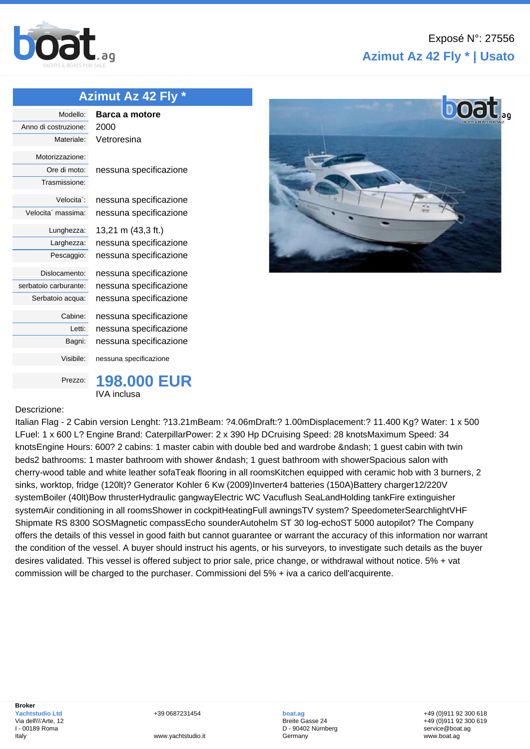

## **Azimut Az 42 Fly \* | Usato**

## **[Azimu](http://www.boat.ag/)t Az 42 Fly \***

| Modello:                       | Barca a motore         |
|--------------------------------|------------------------|
| Anno di costruzione:           | 2000                   |
| Materiale:                     | Vetroresina            |
| Motorizzazione:                |                        |
| Ore di moto:                   | nessuna specificazione |
| Trasmissione:                  |                        |
| Velocita <sup>1</sup> :        | nessuna specificazione |
| Velocita <sup>'</sup> massima: | nessuna specificazione |
| Lunghezza:                     | 13,21 m (43,3 ft.)     |
| Larghezza:                     | nessuna specificazione |
| Pescaggio:                     | nessuna specificazione |
| Dislocamento:                  | nessuna specificazione |
| serbatoio carburante:          | nessuna specificazione |
| Serbatoio acqua:               | nessuna specificazione |
| Cabine:                        | nessuna specificazione |
| Letti:                         | nessuna specificazione |
| Bagni:                         | nessuna specificazione |
| Visibile:                      | nessuna specificazione |
| Prezzo:                        | 198.                   |

Prezzo: **198.000 EUR** IVA inclusa

## Descrizione:

Italian Flag - 2 Cabin version Lenght: ?13.21mBeam: ?4.06mDraft:? 1.00mDisplacement:? 11.400 Kg? Water: 1 x 500 LFuel: 1 x 600 L? Engine Brand: CaterpillarPower: 2 x 390 Hp DCruising Speed: 28 knotsMaximum Speed: 34 knotsEngine Hours: 600? 2 cabins: 1 master cabin with double bed and wardrobe – 1 quest cabin with twin beds2 bathrooms: 1 master bathroom with shower – 1 guest bathroom with showerSpacious salon with cherry-wood table and white leather sofaTeak flooring in all roomsKitchen equipped with ceramic hob with 3 burners, 2 sinks, worktop, fridge (120lt)? Generator Kohler 6 Kw (2009)Inverter4 batteries (150A)Battery charger12/220V systemBoiler (40lt)Bow thrusterHydraulic gangwayElectric WC Vacuflush SeaLandHolding tankFire extinguisher systemAir conditioning in all roomsShower in cockpitHeatingFull awningsTV system? SpeedometerSearchlightVHF Shipmate RS 8300 SOSMagnetic compassEcho sounderAutohelm ST 30 log-echoST 5000 autopilot? The Company offers the details of this vessel in good faith but cannot guarantee or warrant the accuracy of this information nor warrant the condition of the vessel. A buyer should instruct his agents, or his surveyors, to investigate such details as the buyer desires validated. This vessel is offered subject to prior sale, price change, or withdrawal without notice. 5% + vat commission will be charged to the purchaser. Commissioni del 5% + iva a carico dell'acquirente.

+39 0687231454

www.yachtstudio.it

**boat.ag** Breite Gasse 24 D - 90402 Nürnberg Germany

+49 (0)911 92 300 618 +49 (0)911 92 300 619 service@boat.ag www.boat.ag